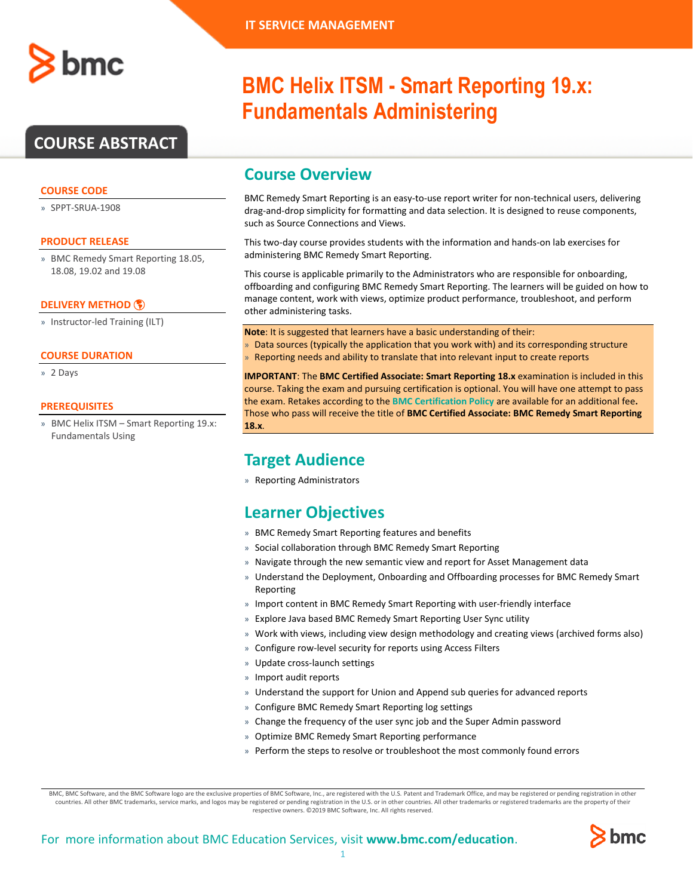

## **COURSE ABSTRACT**

#### **COURSE CODE**

» SPPT-SRUA-1908

#### **PRODUCT RELEASE**

» BMC Remedy Smart Reporting 18.05, 18.08, 19.02 and 19.08

#### **[DELIVERY METHOD](http://www.bmc.com/education/modality.html)**

» Instructor-led Training (ILT)

#### **COURSE DURATION**

» 2 Days

#### **PREREQUISITES**

» BMC Helix ITSM – Smart Reporting 19.x: Fundamentals Using

# **BMC Helix ITSM - Smart Reporting 19.x: Fundamentals Administering**

### **Course Overview**

BMC Remedy Smart Reporting is an easy-to-use report writer for non-technical users, delivering drag-and-drop simplicity for formatting and data selection. It is designed to reuse components, such as Source Connections and Views.

This two-day course provides students with the information and hands-on lab exercises for administering BMC Remedy Smart Reporting.

This course is applicable primarily to the Administrators who are responsible for onboarding, offboarding and configuring BMC Remedy Smart Reporting. The learners will be guided on how to manage content, work with views, optimize product performance, troubleshoot, and perform other administering tasks.

**Note**: It is suggested that learners have a basic understanding of their:

- » Data sources (typically the application that you work with) and its corresponding structure
- » Reporting needs and ability to translate that into relevant input to create reports

**IMPORTANT**: The **BMC Certified Associate: Smart Reporting 18.x** examination is included in this course. Taking the exam and pursuing certification is optional. You will have one attempt to pass the exam. Retakes according to the **[BMC Certification Policy](https://www.bmc.com/content/dam/bmc/education/BMC_Education_Certification_Policy.pdf)** are available for an additional fee**.**  Those who pass will receive the title of **BMC Certified Associate: BMC Remedy Smart Reporting 18.x**.

### **Target Audience**

» Reporting Administrators

## **Learner Objectives**

- » BMC Remedy Smart Reporting features and benefits
- » Social collaboration through BMC Remedy Smart Reporting
- » Navigate through the new semantic view and report for Asset Management data
- » Understand the Deployment, Onboarding and Offboarding processes for BMC Remedy Smart Reporting
- » Import content in BMC Remedy Smart Reporting with user-friendly interface
- » Explore Java based BMC Remedy Smart Reporting User Sync utility
- » Work with views, including view design methodology and creating views (archived forms also)
- » Configure row-level security for reports using Access Filters
- » Update cross-launch settings
- » Import audit reports
- » Understand the support for Union and Append sub queries for advanced reports
- » Configure BMC Remedy Smart Reporting log settings
- » Change the frequency of the user sync job and the Super Admin password
- » Optimize BMC Remedy Smart Reporting performance
- Perform the steps to resolve or troubleshoot the most commonly found errors

BMC, BMC Software, and the BMC Software logo are the exclusive properties of BMC Software, Inc., are registered with the U.S. Patent and Trademark Office, and may be registered or pending registration in other countries. All other BMC trademarks, service marks, and logos may be registered or pending registration in the U.S. or in other countries. All other trademarks or registered trademarks are the property of their respective owners. ©2019 BMC Software, Inc. All rights reserved.